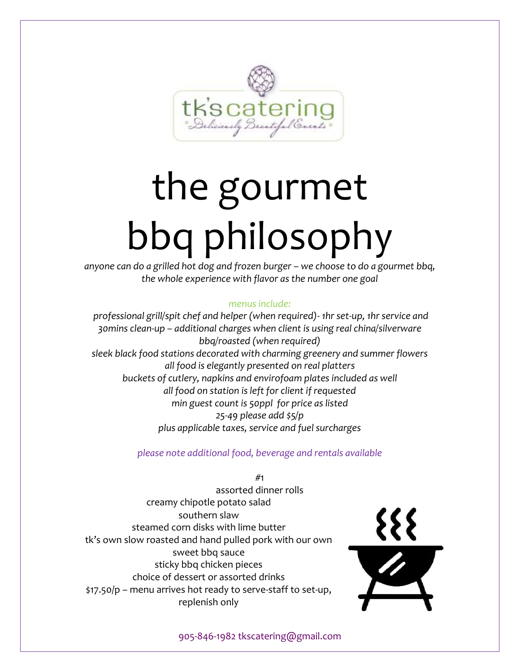

# the gourmet bbq philosophy

*anyone can do a grilled hot dog and frozen burger – we choose to do a gourmet bbq, the whole experience with flavor as the number one goal*

# *menus include:*

*professional grill/spit chef and helper (when required)- 1hr set-up, 1hr service and 30mins clean-up – additional charges when client is using real china/silverware bbq/roasted (when required) sleek black food stations decorated with charming greenery and summer flowers all food is elegantly presented on real platters buckets of cutlery, napkins and envirofoam plates included as well all food on station is left for client if requested min guest count is 50ppl for price as listed 25-49 please add \$5/p plus applicable taxes, service and fuel surcharges*

*please note additional food, beverage and rentals available*

#1 assorted dinner rolls creamy chipotle potato salad southern slaw steamed corn disks with lime butter tk's own slow roasted and hand pulled pork with our own sweet bbq sauce sticky bbq chicken pieces choice of dessert or assorted drinks \$17.50/p – menu arrives hot ready to serve-staff to set-up, replenish only

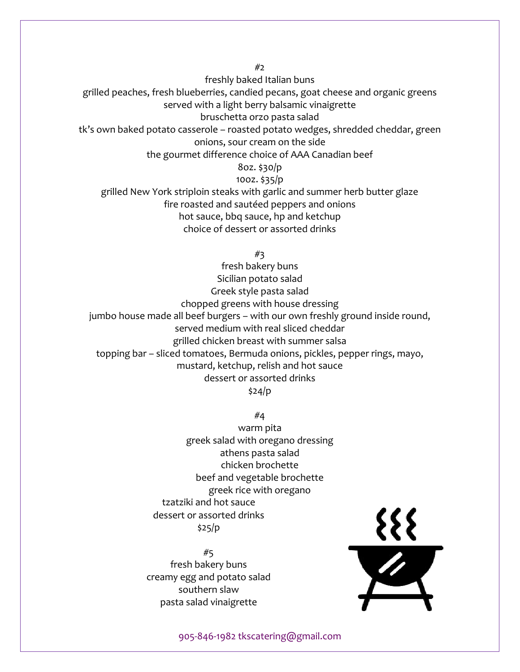#2

freshly baked Italian buns

grilled peaches, fresh blueberries, candied pecans, goat cheese and organic greens

served with a light berry balsamic vinaigrette

bruschetta orzo pasta salad

tk's own baked potato casserole – roasted potato wedges, shredded cheddar, green onions, sour cream on the side

the gourmet difference choice of AAA Canadian beef

## 8oz. \$30/p

10oz. \$35/p

grilled New York striploin steaks with garlic and summer herb butter glaze fire roasted and sautéed peppers and onions hot sauce, bbq sauce, hp and ketchup choice of dessert or assorted drinks

#3

fresh bakery buns Sicilian potato salad Greek style pasta salad chopped greens with house dressing jumbo house made all beef burgers – with our own freshly ground inside round, served medium with real sliced cheddar grilled chicken breast with summer salsa topping bar – sliced tomatoes, Bermuda onions, pickles, pepper rings, mayo, mustard, ketchup, relish and hot sauce dessert or assorted drinks \$24/p

#4

warm pita greek salad with oregano dressing athens pasta salad chicken brochette beef and vegetable brochette greek rice with oregano tzatziki and hot sauce dessert or assorted drinks \$25/p

#5 fresh bakery buns creamy egg and potato salad southern slaw pasta salad vinaigrette

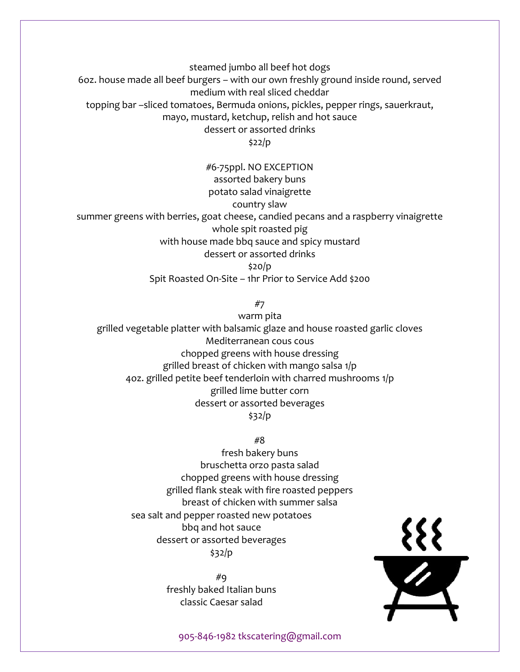steamed jumbo all beef hot dogs

6oz. house made all beef burgers – with our own freshly ground inside round, served medium with real sliced cheddar

topping bar –sliced tomatoes, Bermuda onions, pickles, pepper rings, sauerkraut,

mayo, mustard, ketchup, relish and hot sauce

dessert or assorted drinks

\$22/p

#6-75ppl. NO EXCEPTION assorted bakery buns potato salad vinaigrette country slaw summer greens with berries, goat cheese, candied pecans and a raspberry vinaigrette whole spit roasted pig with house made bbq sauce and spicy mustard dessert or assorted drinks \$20/p Spit Roasted On-Site – 1hr Prior to Service Add \$200

#7

warm pita grilled vegetable platter with balsamic glaze and house roasted garlic cloves Mediterranean cous cous chopped greens with house dressing grilled breast of chicken with mango salsa 1/p 4oz. grilled petite beef tenderloin with charred mushrooms 1/p grilled lime butter corn dessert or assorted beverages \$32/p

#8

fresh bakery buns bruschetta orzo pasta salad chopped greens with house dressing grilled flank steak with fire roasted peppers breast of chicken with summer salsa sea salt and pepper roasted new potatoes bbq and hot sauce dessert or assorted beverages \$32/p

> #9 freshly baked Italian buns classic Caesar salad

 $\frac{\mathcal{L}}{\mathbf{Z}}$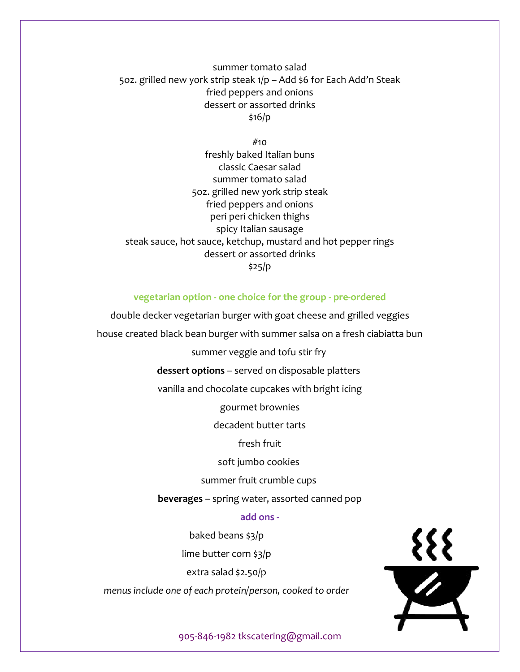summer tomato salad 5oz. grilled new york strip steak 1/p – Add \$6 for Each Add'n Steak fried peppers and onions dessert or assorted drinks \$16/p

 $#$ 10 freshly baked Italian buns classic Caesar salad summer tomato salad 5oz. grilled new york strip steak fried peppers and onions peri peri chicken thighs spicy Italian sausage steak sauce, hot sauce, ketchup, mustard and hot pepper rings dessert or assorted drinks \$25/p

#### **vegetarian option - one choice for the group - pre-ordered**

double decker vegetarian burger with goat cheese and grilled veggies

house created black bean burger with summer salsa on a fresh ciabiatta bun

summer veggie and tofu stir fry

**dessert options** – served on disposable platters

vanilla and chocolate cupcakes with bright icing

gourmet brownies

decadent butter tarts

fresh fruit

soft jumbo cookies

summer fruit crumble cups

**beverages** – spring water, assorted canned pop

#### **add ons -**

baked beans \$3/p lime butter corn \$3/p extra salad \$2.50/p *menus include one of each protein/person, cooked to order*